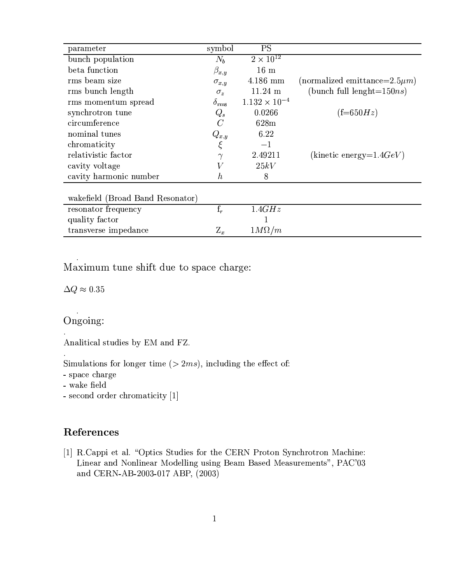| parameter                        | symbol             | <b>PS</b>              |                                    |
|----------------------------------|--------------------|------------------------|------------------------------------|
| bunch population                 | $N_b$              | $2 \times 10^{12}$     |                                    |
| beta function                    | $\beta_{x,y}$      | 16 <sub>m</sub>        |                                    |
| rms beam size                    | $\sigma_{x,y}$     | 4.186 mm               | (normalized emittance=2.5 $\mu$ m) |
| rms bunch length                 | $\sigma_z$         | $11.24 \text{ m}$      | (bunch full lenght= $150ns$ )      |
| rms momentum spread              | $\delta_{\rm rms}$ | $1.132 \times 10^{-4}$ |                                    |
| synchrotron tune                 | $Q_s$              | 0.0266                 | $(f=650Hz)$                        |
| circumference                    | $\overline{C}$     | 628m                   |                                    |
| nominal tunes                    | $Q_{x,y}$          | 6.22                   |                                    |
| chromaticity                     | $\xi$              | $-1$                   |                                    |
| relativistic factor              | $\gamma$           | 2.49211                | (kinetic energy= $1.4 GeV$ )       |
| cavity voltage                   | V                  | 25kV                   |                                    |
| cavity harmonic number           | $\hbar$            | 8                      |                                    |
|                                  |                    |                        |                                    |
| wakefield (Broad Band Resonator) |                    |                        |                                    |
| resonator frequency              | $f_r$              | 1.4GHz                 |                                    |
| quality factor                   |                    | 1                      |                                    |
| transverse impedance             | $Z_x$              | $1M\Omega/m$           |                                    |

Maximum tune shift due to space charge:

 $\Delta Q \approx 0.35$ 

## Ongoing:

Analitical studies by EM and FZ.

Simulations for longer time  $(>2ms)$ , including the effect of:

- space charge

- wake field

- second order chromaticity  $\left[1\right]$ 

## References

[1] R.Cappi et al. "Optics Studies for the CERN Proton Synchrotron Machine: Linear and Nonlinear Modelling using Beam Based Measurements", PAC'03 and CERN-AB-2003-017 ABP, (2003)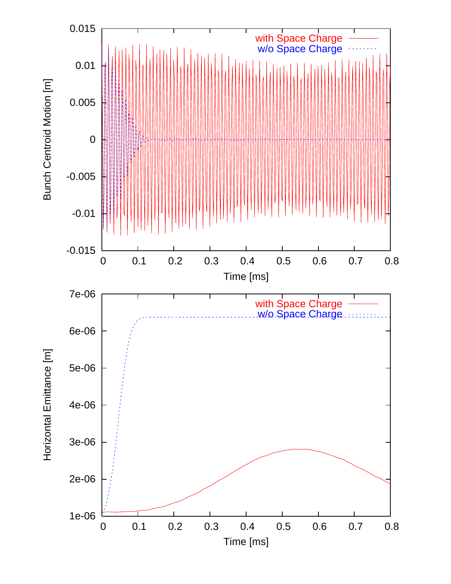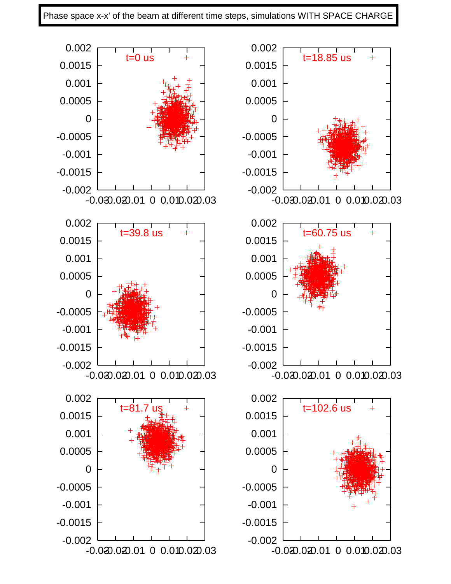